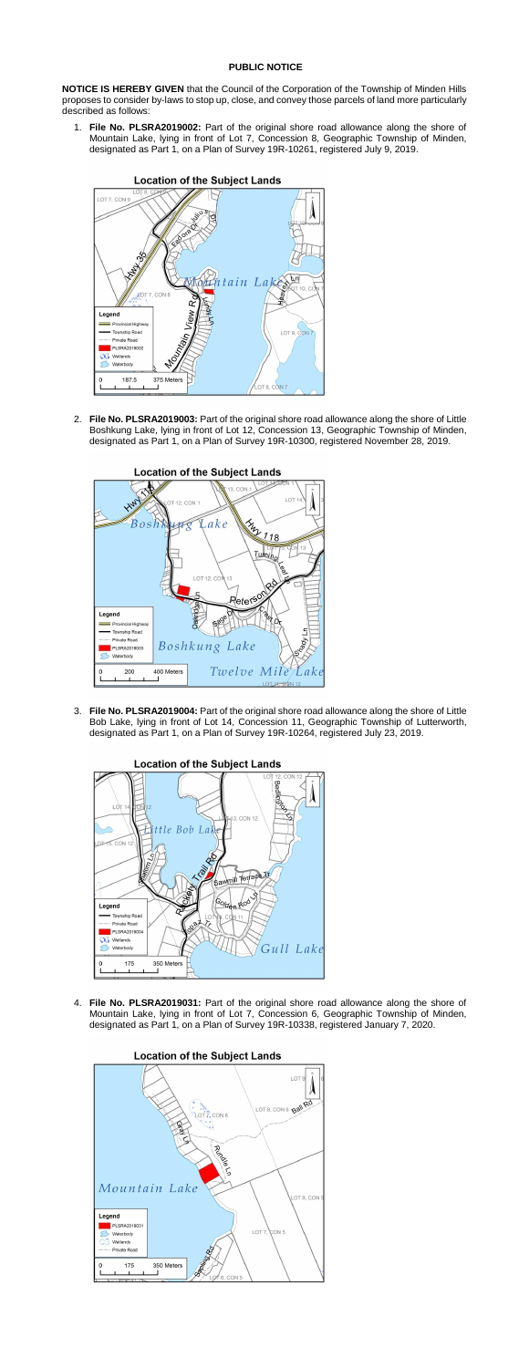## **PUBLIC NOTICE**

**NOTICE IS HEREBY GIVEN** that the Council of the Corporation of the Township of Minden Hills proposes to consider by-laws to stop up, close, and convey those parcels of land more particularly described as follows:

1. **File No. PLSRA2019002:** Part of the original shore road allowance along the shore of Mountain Lake, lying in front of Lot 7, Concession 8, Geographic Township of Minden, designated as Part 1, on a Plan of Survey 19R-10261, registered July 9, 2019.



2. **File No. PLSRA2019003:** Part of the original shore road allowance along the shore of Little Boshkung Lake, lying in front of Lot 12, Concession 13, Geographic Township of Minden, designated as Part 1, on a Plan of Survey 19R-10300, registered November 28, 2019.



## **Location of the Subject Lands**

3. **File No. PLSRA2019004:** Part of the original shore road allowance along the shore of Little Bob Lake, lying in front of Lot 14, Concession 11, Geographic Township of Lutterworth, designated as Part 1, on a Plan of Survey 19R-10264, registered July 23, 2019.



4. **File No. PLSRA2019031:** Part of the original shore road allowance along the shore of Mountain Lake, lying in front of Lot 7, Concession 6, Geographic Township of Minden, designated as Part 1, on a Plan of Survey 19R-10338, registered January 7, 2020.



## **Location of the Subject Lands**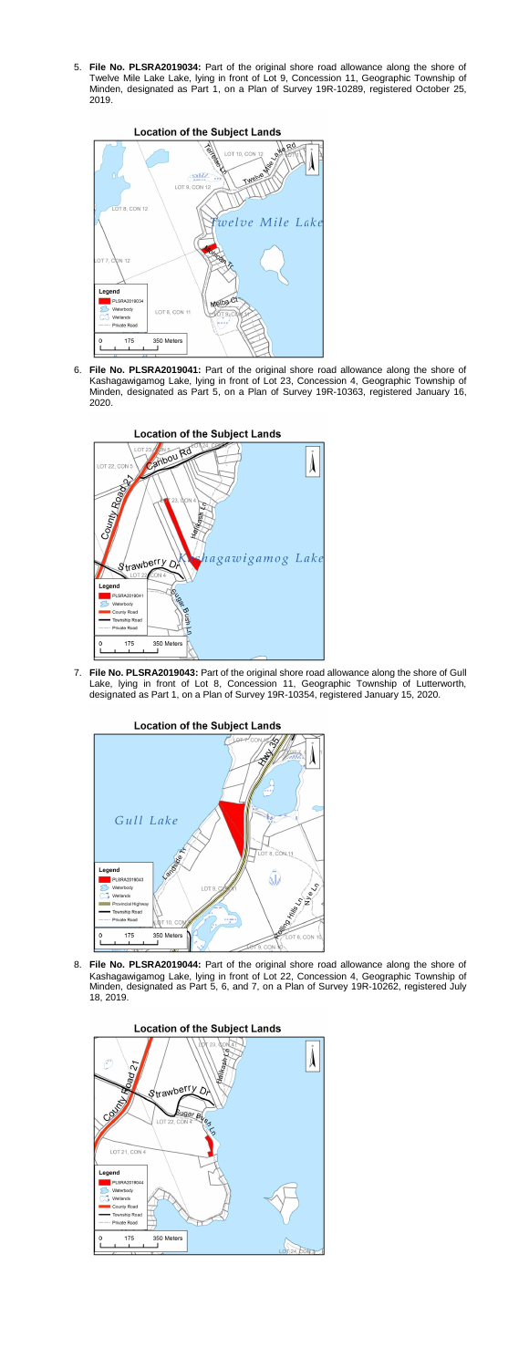5. **File No. PLSRA2019034:** Part of the original shore road allowance along the shore of Twelve Mile Lake Lake, lying in front of Lot 9, Concession 11, Geographic Township of Minden, designated as Part 1, on a Plan of Survey 19R-10289, registered October 25, 2019.



6. **File No. PLSRA2019041:** Part of the original shore road allowance along the shore of Kashagawigamog Lake, lying in front of Lot 23, Concession 4, Geographic Township of Minden, designated as Part 5, on a Plan of Survey 19R-10363, registered January 16, 2020.



7. **File No. PLSRA2019043:** Part of the original shore road allowance along the shore of Gull Lake, lying in front of Lot 8, Concession 11, Geographic Township of Lutterworth, designated as Part 1, on a Plan of Survey 19R-10354, registered January 15, 2020.

## **Location of the Subject Lands**



8. **File No. PLSRA2019044:** Part of the original shore road allowance along the shore of Kashagawigamog Lake, lying in front of Lot 22, Concession 4, Geographic Township of Minden, designated as Part 5, 6, and 7, on a Plan of Survey 19R-10262, registered July 18, 2019.